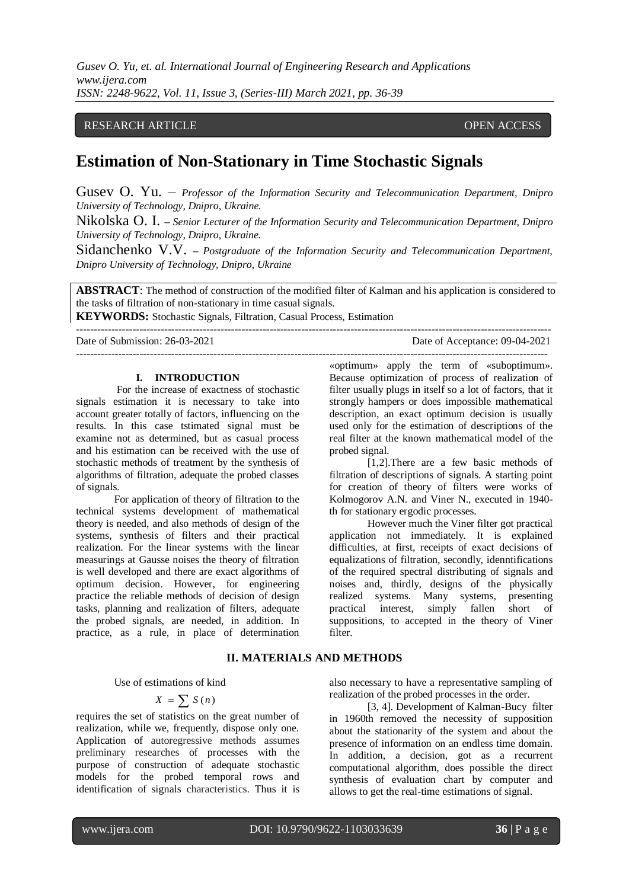# RESEARCH ARTICLE **CONTRACT ARTICLE** AND CONSUMING A SECTION OF A CONSUMING A SECTION OF A LIGHT AND A LIGHT OF A LIGHT AND A LIGHT AND A LIGHT AND A LIGHT AND A LIGHT AND A LIGHT AND A LIGHT A LIGHT AND A LIGHT AND A LIGHT

# **Estimation of Non-Stationary in Time Stochastic Signals**

Gusev O. Yu. – *Professor of the Information Security and Telecommunication Department, Dnipro University of Technology, Dnipro, Ukraine.*

Nikolska O. I. **–** *Senior Lecturer of the Information Security and Telecommunication Department, Dnipro University of Technology, Dnipro, Ukraine.*

Sidanchenko V.V. **–** *Postgraduate of the Information Security and Telecommunication Department, Dnipro University of Technology, Dnipro, Ukraine*

**ABSTRACT**: The method of construction of the modified filter of Kalman and his application is considered to the tasks of filtration of non-stationary in time casual signals.

--------------------------------------------------------------------------------------------------------------------------------------

**KEYWORDS:** Stochastic Signals, Filtration, Casual Process, Estimation ---------------------------------------------------------------------------------------------------------------------------------------

Date of Submission: 26-03-2021 Date of Acceptance: 09-04-2021

# **I. INTRODUCTION**

For the increase of exactness of stochastic signals estimation it is necessary to take into account greater totally of factors, influencing on the results. In this case tstimated signal must be examine not as determined, but as casual process and his estimation can be received with the use of stochastic methods of treatment by the synthesis of algorithms of filtration, adequate the probed classes of signals.

For application of theory of filtration to the technical systems development of mathematical theory is needed, and also methods of design of the systems, synthesis of filters and their practical realization. For the linear systems with the linear measurings at Gausse noises the theory of filtration is well developed and there are exact algorithms of optimum decision. However, for engineering practice the reliable methods of decision of design tasks, planning and realization of filters, adequate the probed signals, are needed, in addition. In practice, as a rule, in place of determination

«optimum» apply the term of «suboptimum». Because optimization of process of realization of filter usually plugs in itself so a lot of factors, that it strongly hampers or does impossible mathematical description, an exact optimum decision is usually used only for the estimation of descriptions of the real filter at the known mathematical model of the probed signal.

[1,2].There are a few basic methods of filtration of descriptions of signals. A starting point for creation of theory of filters were works of Kolmogorov A.N. and Viner N., executed in 1940 th for stationary ergodic processes.

However much the Viner filter got practical application not immediately. It is explained difficulties, at first, receipts of exact decisions of equalizations of filtration, secondly, idenntifications of the required spectral distributing of signals and noises and, thirdly, designs of the physically realized systems. Many systems, presenting practical interest, simply fallen short of suppositions, to accepted in the theory of Viner filter.

# **II. MATERIALS AND METHODS**

Use of estimations of kind

$$
X = \sum S(n)
$$

requires the set of statistics on the great number of realization, while we, frequently, dispose only one. Application of autoregressive methods assumes preliminary researches of processes with the purpose of construction of adequate stochastic models for the probed temporal rows and identification of signals characteristics. Thus it is

also necessary to have a representative sampling of realization of the probed processes in the order.

[3, 4]. Development of Kalman-Bucy filter in 1960th removed the necessity of supposition about the stationarity of the system and about the presence of information on an endless time domain. In addition, a decision, got as a recurrent computational algorithm, does possible the direct synthesis of evaluation chart by computer and allows to get the real-time estimations of signal.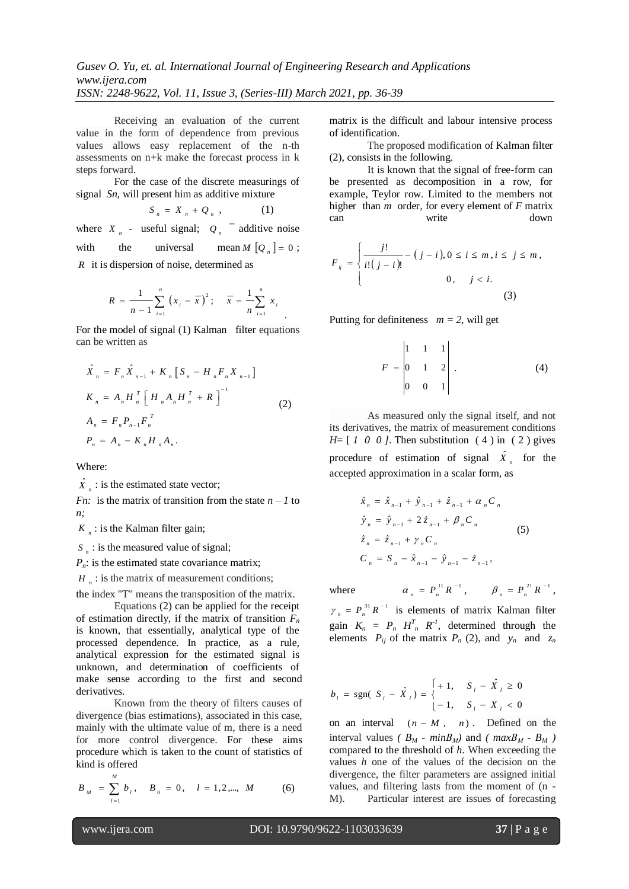Receiving an evaluation of the current value in the form of dependence from previous values allows easy replacement of the n-th assessments on n+k make the forecast process in k steps forward.

For the case of the discrete measurings of signal *Sn*, will present him as additive mixture

$$
S_n = X_n + Q_n \t\t(1)
$$

where  $X_n$  - useful signal;  $Q_n$  <sup>-</sup> additive noise with the universal  $M [Q_{n}] = 0;$ 

*R* it is dispersion of noise, determined as

$$
R = \frac{1}{n-1} \sum_{i=1}^{n} (x_i - \overline{x})^2; \quad \overline{x} = \frac{1}{n} \sum_{i=1}^{n} x_i
$$

For the model of signal (1) Kalman filter equations can be written as

$$
\hat{X}_n = F_n \hat{X}_{n-1} + K_n \left[ S_n - H_n F_n X_{n-1} \right]
$$
\n
$$
K_n = A_n H_n^T \left[ H_n A_n H_n^T + R \right]^{-1}
$$
\n
$$
A_n = F_n P_{n-1} F_n^T
$$
\n
$$
P_n = A_n - K_n H_n A_n.
$$
\n(2)

Where:

 $\hat{X}_n$  : is the estimated state vector;

*Fn:* is the matrix of transition from the state  $n - 1$  to *n;*

 $K_n$ : is the Kalman filter gain;

 $S_n$  : is the measured value of signal;

 $P_n$ : is the estimated state covariance matrix;

 $H_n$ : is the matrix of measurement conditions;

the index "T" means the transposition of the matrix.

Equations (2) can be applied for the receipt of estimation directly, if the matrix of transition  $F_n$ is known, that essentially, analytical type of the processed dependence. In practice, as a rule, analytical expression for the estimated signal is unknown, and determination of coefficients of make sense according to the first and second derivatives.

Known from the theory of filters causes of divergence (bias estimations), associated in this case, mainly with the ultimate value of m, there is a need for more control divergence. For these aims procedure which is taken to the count of statistics of kind is offered

$$
B_M = \sum_{l=1}^{M} b_l, \quad B_0 = 0, \quad l = 1, 2, \dots, M \quad (6)
$$

matrix is the difficult and labour intensive process of identification.

The proposed modification of Kalman filter (2), consists in the following.

It is known that the signal of free-form can be presented as decomposition in a row, for example, Teylor row. Limited to the members not higher than *m* order, for every element of *F* matrix can write down

$$
F_{ij} = \begin{cases} \frac{j!}{i!(j-i)!} - (j-i), 0 \le i \le m, i \le j \le m, \\ 0, \quad j < i. \end{cases}
$$
 (3)

Putting for definiteness  $m = 2$ , will get

$$
F = \begin{vmatrix} 1 & 1 & 1 \\ 0 & 1 & 2 \\ 0 & 0 & 1 \end{vmatrix} . \tag{4}
$$

As measured only the signal itself, and not its derivatives, the matrix of measurement conditions *H*= [ *1 0 0 ]*. Then substitution ( 4 ) in ( 2 ) gives procedure of estimation of signal  $\hat{X}_n$  for the accepted approximation in a scalar form, as

$$
\hat{x}_n = \hat{x}_{n-1} + \hat{y}_{n-1} + \hat{z}_{n-1} + \alpha_n C_n
$$
\n
$$
\hat{y}_n = \hat{y}_{n-1} + 2\hat{z}_{n-1} + \beta_n C_n
$$
\n
$$
\hat{z}_n = \hat{z}_{n-1} + \gamma_n C_n
$$
\n
$$
C_n = S_n - \hat{x}_{n-1} - \hat{y}_{n-1} - \hat{z}_{n-1},
$$
\n(5)

where

 $\alpha_n = P_n^{\{1\}} R^{-1}, \qquad \beta_n = P_n^{\{21\}} R^{-1},$  $\gamma_n = P_n^{\{3\}} R^{-1}$  is elements of matrix Kalman filter

gain  $K_n = P_n H_n^T R^{T}$ , determined through the elements  $P_{ij}$  of the matrix  $P_n$  (2), and  $y_n$  and  $z_n$ 

$$
b_{i} = \text{sgn}(S_{i} - \hat{X}_{i}) = \begin{cases} +1, & S_{i} - \hat{X}_{i} \ge 0\\ -1, & S_{i} - X_{i} < 0 \end{cases}
$$

on an interval  $(n - M, n)$ . Defined on the interval values *(* $B_M$  *- minB<sub>M</sub>)* and *(* $maxB_M$  *- B<sub>M</sub>)* compared to the threshold of *h*. When exceeding the values *h* one of the values of the decision on the divergence, the filter parameters are assigned initial values, and filtering lasts from the moment of (n - M). Particular interest are issues of forecasting

*M*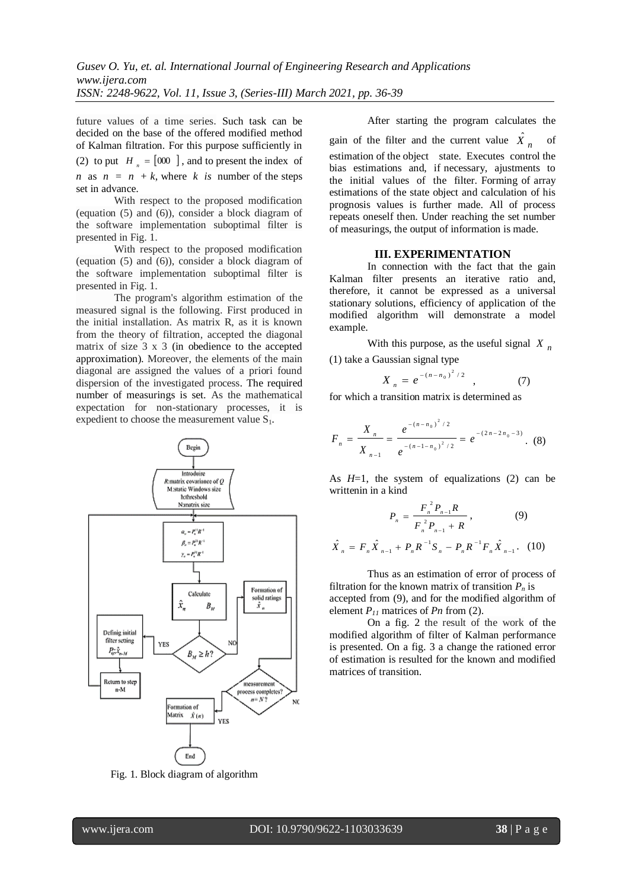future values of a time series. Such task can be decided on the base of the offered modified method of Kalman filtration. For this purpose sufficiently in

(2) to put  $H_n = [000]$ , and to present the index of *n* as  $n = n + k$ , where *k is* number of the steps

set in advance.

With respect to the proposed modification (equation (5) and (6)), consider a block diagram of the software implementation suboptimal filter is presented in Fig. 1.

With respect to the proposed modification (equation (5) and (6)), consider a block diagram of the software implementation suboptimal filter is presented in Fig. 1.

The program's algorithm estimation of the measured signal is the following. First produced in the initial installation. As matrix R, as it is known from the theory of filtration, accepted the diagonal matrix of size 3 x 3 (in obedience to the accepted approximation). Moreover, the elements of the main diagonal are assigned the values of a priori found dispersion of the investigated process. The required number of measurings is set. As the mathematical expectation for non-stationary processes, it is expedient to choose the measurement value S<sub>1</sub>.



Fig. 1. Block diagram of algorithm

After starting the program calculates the gain of the filter and the current value  $\hat{X}_n$  of estimation of the object state. Executes control the bias estimations and, if necessary, ajustments to the initial values of the filter. Forming of array estimations of the state object and calculation of his prognosis values is further made. All of process repeats oneself then. Under reaching the set number of measurings, the output of information is made.

## **III. EXPERIMENTATION**

In connection with the fact that the gain Kalman filter presents an iterative ratio and, therefore, it cannot be expressed as a universal stationary solutions, efficiency of application of the modified algorithm will demonstrate a model example.

With this purpose, as the useful signal  $X_n$ (1) take a Gaussian signal type

$$
X_n = e^{-(n-n_0)^2/2}, \qquad (7)
$$

for which a transition matrix is determined as

$$
F_n = \frac{X_n}{X_{n-1}} = \frac{e^{-(n-n_0)^2/2}}{e^{-(n-1-n_0)^2/2}} = e^{-(2n-2n_0-3)}.
$$
 (8)

As *H*=1, the system of equalizations (2) can be writtenin in a kind

$$
P_{n} = \frac{F_{n}^{2} P_{n-1} R}{F_{n}^{2} P_{n-1} + R},
$$
(9)  

$$
\hat{X}_{n} = F_{n} \hat{X}_{n-1} + P_{n} R^{-1} S_{n} - P_{n} R^{-1} F_{n} \hat{X}_{n-1}.
$$
(10)

Thus as an estimation of error of process of filtration for the known matrix of transition  $P_n$  is accepted from (9), and for the modified algorithm of element  $P_{11}$  matrices of  $P_n$  from (2).

On a fig. 2 the result of the work of the modified algorithm of filter of Kalman performance is presented. On a fig. 3 a change the rationed error of estimation is resulted for the known and modified matrices of transition.